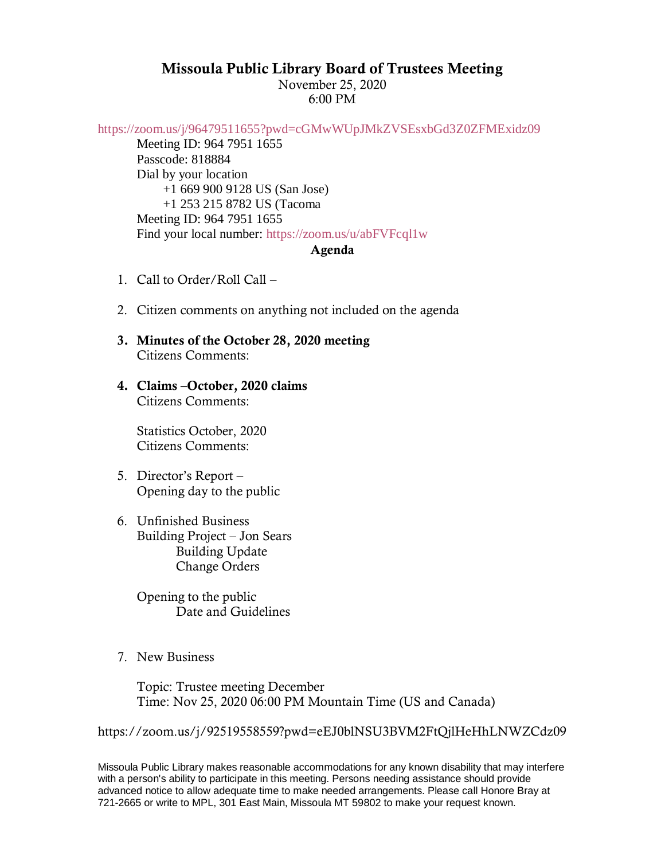## Missoula Public Library Board of Trustees Meeting

November 25, 2020 6:00 PM

<https://zoom.us/j/96479511655?pwd=cGMwWUpJMkZVSEsxbGd3Z0ZFMExidz09>

Meeting ID: 964 7951 1655 Passcode: 818884 Dial by your location +1 669 900 9128 US (San Jose) +1 253 215 8782 US (Tacoma Meeting ID: 964 7951 1655 Find your local number:<https://zoom.us/u/abFVFcql1w>

## Agenda

- 1. Call to Order/Roll Call –
- 2. Citizen comments on anything not included on the agenda
- 3. Minutes of the October 28, 2020 meeting Citizens Comments:
- 4. Claims –October, 2020 claims Citizens Comments:

Statistics October, 2020 Citizens Comments:

- 5. Director's Report Opening day to the public
- 6. Unfinished Business Building Project – Jon Sears Building Update Change Orders

Opening to the public Date and Guidelines

7. New Business

Topic: Trustee meeting December Time: Nov 25, 2020 06:00 PM Mountain Time (US and Canada)

https://zoom.us/j/92519558559?pwd=eEJ0blNSU3BVM2FtQjlHeHhLNWZCdz09

Missoula Public Library makes reasonable accommodations for any known disability that may interfere with a person's ability to participate in this meeting. Persons needing assistance should provide advanced notice to allow adequate time to make needed arrangements. Please call Honore Bray at 721-2665 or write to MPL, 301 East Main, Missoula MT 59802 to make your request known.